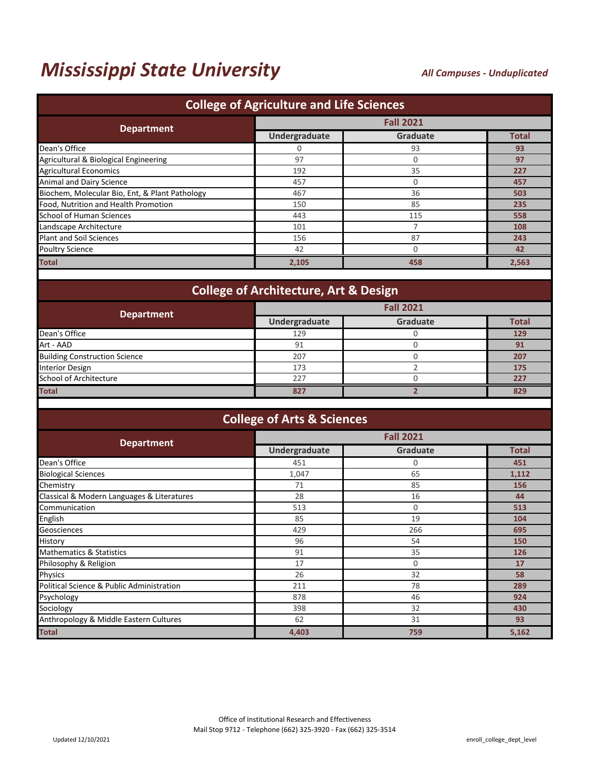# *Mississippi State University*

#### *All Campuses - Unduplicated*

| <b>College of Agriculture and Life Sciences</b> |               |                  |              |  |  |
|-------------------------------------------------|---------------|------------------|--------------|--|--|
|                                                 |               | <b>Fall 2021</b> |              |  |  |
| <b>Department</b>                               | Undergraduate | <b>Graduate</b>  | <b>Total</b> |  |  |
| Dean's Office                                   | 0             | 93               | 93           |  |  |
| Agricultural & Biological Engineering           | 97            | $\Omega$         | 97           |  |  |
| <b>Agricultural Economics</b>                   | 192           | 35               | 227          |  |  |
| Animal and Dairy Science                        | 457           | 0                | 457          |  |  |
| Biochem, Molecular Bio, Ent, & Plant Pathology  | 467           | 36               | 503          |  |  |
| Food, Nutrition and Health Promotion            | 150           | 85               | 235          |  |  |
| <b>School of Human Sciences</b>                 | 443           | 115              | 558          |  |  |
| Landscape Architecture                          | 101           |                  | 108          |  |  |
| <b>Plant and Soil Sciences</b>                  | 156           | 87               | 243          |  |  |
| <b>Poultry Science</b>                          | 42            |                  | 42           |  |  |
| <b>Total</b>                                    | 2,105         | 458              | 2,563        |  |  |
|                                                 |               |                  |              |  |  |

### **College of Architecture, Art & Design**

| <b>Department</b>                    | <b>Fall 2021</b> |          |              |
|--------------------------------------|------------------|----------|--------------|
|                                      | Undergraduate    | Graduate | <b>Total</b> |
| Dean's Office                        | 129              |          | 129          |
| Art - AAD                            | 91               |          | 91           |
| <b>Building Construction Science</b> | 207              |          | 207          |
| <b>Interior Design</b>               | 173              |          | 175          |
| School of Architecture               | 227              |          | 227          |
| <b>Total</b>                         | 827              |          | 829          |

#### **College of Arts & Sciences**

| <b>Department</b>                          | <b>Fall 2021</b> |                 |              |
|--------------------------------------------|------------------|-----------------|--------------|
|                                            | Undergraduate    | <b>Graduate</b> | <b>Total</b> |
| Dean's Office                              | 451              | 0               | 451          |
| <b>Biological Sciences</b>                 | 1,047            | 65              | 1,112        |
| Chemistry                                  | 71               | 85              | 156          |
| Classical & Modern Languages & Literatures | 28               | 16              | 44           |
| Communication                              | 513              | 0               | 513          |
| English                                    | 85               | 19              | 104          |
| Geosciences                                | 429              | 266             | 695          |
| History                                    | 96               | 54              | 150          |
| <b>Mathematics &amp; Statistics</b>        | 91               | 35              | 126          |
| Philosophy & Religion                      | 17               | 0               | 17           |
| Physics                                    | 26               | 32              | 58           |
| Political Science & Public Administration  | 211              | 78              | 289          |
| Psychology                                 | 878              | 46              | 924          |
| Sociology                                  | 398              | 32              | 430          |
| Anthropology & Middle Eastern Cultures     | 62               | 31              | 93           |
| <b>Total</b>                               | 4,403            | 759             | 5,162        |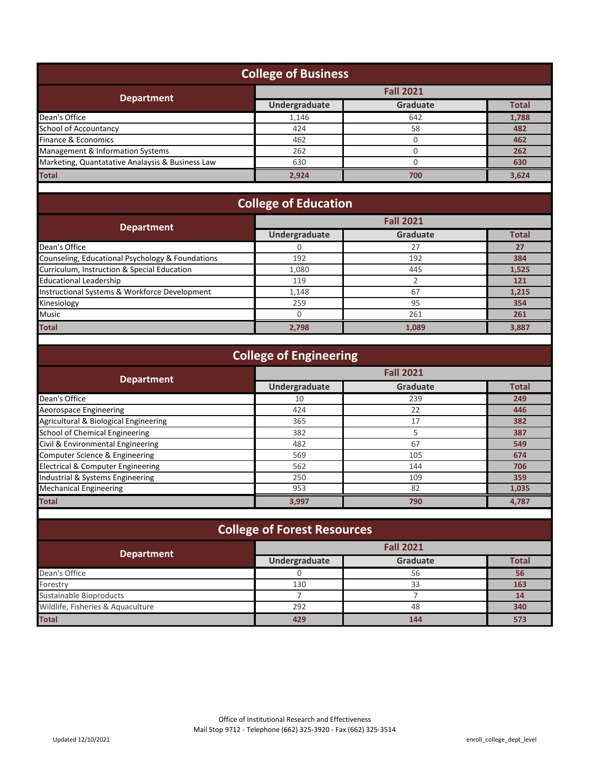| <b>College of Business</b>                       |                                                       |     |              |
|--------------------------------------------------|-------------------------------------------------------|-----|--------------|
|                                                  | <b>Fall 2021</b>                                      |     |              |
|                                                  | <b>Department</b><br>Undergraduate<br><b>Graduate</b> |     | <b>Total</b> |
| Dean's Office                                    | 1,146                                                 | 642 | 1,788        |
| <b>School of Accountancy</b>                     | 424                                                   | 58  | 482          |
| Finance & Economics                              | 462                                                   |     | 462          |
| Management & Information Systems                 | 262                                                   |     | 262          |
| Marketing, Quantatative Analaysis & Business Law | 630                                                   |     | 630          |
| <b>Total</b>                                     | 2,924                                                 | 700 | 3,624        |

## **College of Education**

| <b>Department</b>                                | <b>Fall 2021</b> |                 |              |
|--------------------------------------------------|------------------|-----------------|--------------|
|                                                  | Undergraduate    | <b>Graduate</b> | <b>Total</b> |
| Dean's Office                                    |                  | 27              | 27           |
| Counseling, Educational Psychology & Foundations | 192              | 192             | 384          |
| Curriculum, Instruction & Special Education      | 1.080            | 445             | 1,525        |
| <b>Educational Leadership</b>                    | 119              |                 | 121          |
| Instructional Systems & Workforce Development    | 1,148            | 67              | 1,215        |
| Kinesiology                                      | 259              | 95              | 354          |
| <b>Music</b>                                     |                  | 261             |              |
| <b>Total</b>                                     | 2,798            | 1.089           | 3,887        |

| <b>College of Engineering</b>         |               |                  |              |  |
|---------------------------------------|---------------|------------------|--------------|--|
| <b>Department</b>                     |               | <b>Fall 2021</b> |              |  |
|                                       | Undergraduate | Graduate         | <b>Total</b> |  |
| Dean's Office                         | 10            | 239              | 249          |  |
| Aeorospace Engineering                | 424           | 22               | 446          |  |
| Agricultural & Biological Engineering | 365           | 17               | 382          |  |
| School of Chemical Engineering        | 382           |                  | 387          |  |
| Civil & Environmental Engineering     | 482           | 67               | 549          |  |
| Computer Science & Engineering        | 569           | 105              | 674          |  |
| Electrical & Computer Engineering     | 562           | 144              | 706          |  |
| Industrial & Systems Engineering      | 250           | 109              | 359          |  |
| <b>Mechanical Engineering</b>         | 953           | 82               | 1,035        |  |
| <b>Total</b>                          | 3,997         | 790              | 4.787        |  |

| <b>College of Forest Resources</b> |                   |                 |              |  |  |
|------------------------------------|-------------------|-----------------|--------------|--|--|
| <b>Department</b>                  | <b>Fall 2021</b>  |                 |              |  |  |
|                                    | Undergraduate     | <b>Graduate</b> | <b>Total</b> |  |  |
| Dean's Office                      |                   | 56              | 56           |  |  |
| Forestry                           | 130<br>163<br>33  |                 |              |  |  |
| Sustainable Bioproducts            | 14                |                 |              |  |  |
| Wildlife, Fisheries & Aquaculture  | 292<br>340<br>48  |                 |              |  |  |
| <b>Total</b>                       | 573<br>429<br>144 |                 |              |  |  |